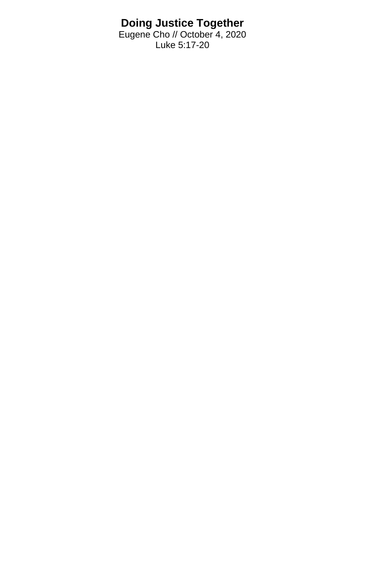## **Doing Justice Together**

Eugene Cho // October 4, 2020 Luke 5:17-20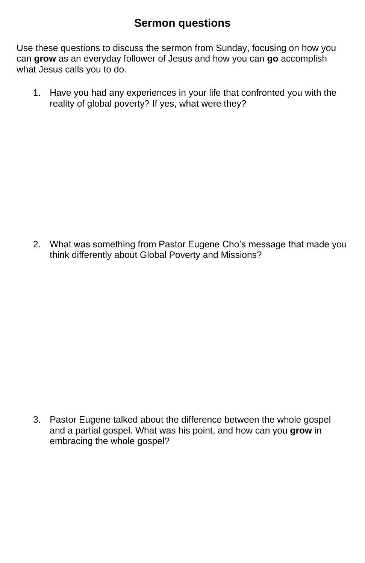## **Sermon questions**

Use these questions to discuss the sermon from Sunday, focusing on how you can **grow** as an everyday follower of Jesus and how you can **go** accomplish what Jesus calls you to do.

1. Have you had any experiences in your life that confronted you with the reality of global poverty? If yes, what were they?

2. What was something from Pastor Eugene Cho's message that made you think differently about Global Poverty and Missions?

3. Pastor Eugene talked about the difference between the whole gospel and a partial gospel. What was his point, and how can you **grow** in embracing the whole gospel?